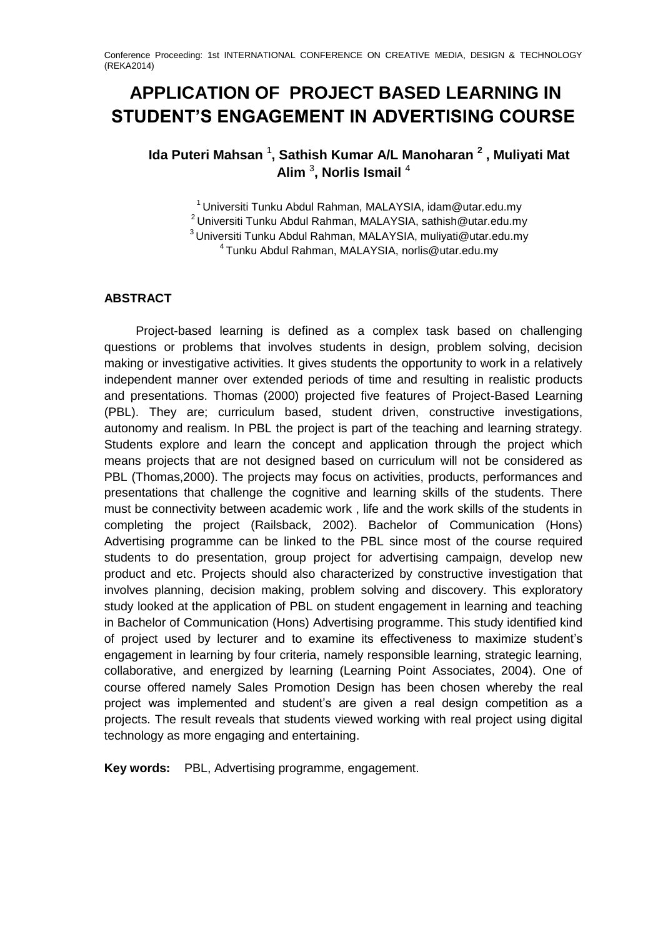# **APPLICATION OF PROJECT BASED LEARNING IN STUDENT'S ENGAGEMENT IN ADVERTISING COURSE**

# **Ida Puteri Mahsan** <sup>1</sup> **, Sathish Kumar A/L Manoharan <sup>2</sup> , Muliyati Mat Alim** <sup>3</sup> **, Norlis Ismail** <sup>4</sup>

Universiti Tunku Abdul Rahman, MALAYSIA, idam@utar.edu.mv Universiti Tunku Abdul Rahman, MALAYSIA, sathish@utar.edu.my Universiti Tunku Abdul Rahman, MALAYSIA, muliyati@utar.edu.my Tunku Abdul Rahman, MALAYSIA, norlis@utar.edu.my

# **ABSTRACT**

Project-based learning is defined as a complex task based on challenging questions or problems that involves students in design, problem solving, decision making or investigative activities. It gives students the opportunity to work in a relatively independent manner over extended periods of time and resulting in realistic products and presentations. Thomas (2000) projected five features of Project-Based Learning (PBL). They are; curriculum based, student driven, constructive investigations, autonomy and realism. In PBL the project is part of the teaching and learning strategy. Students explore and learn the concept and application through the project which means projects that are not designed based on curriculum will not be considered as PBL (Thomas,2000). The projects may focus on activities, products, performances and presentations that challenge the cognitive and learning skills of the students. There must be connectivity between academic work , life and the work skills of the students in completing the project (Railsback, 2002). Bachelor of Communication (Hons) Advertising programme can be linked to the PBL since most of the course required students to do presentation, group project for advertising campaign, develop new product and etc. Projects should also characterized by constructive investigation that involves planning, decision making, problem solving and discovery. This exploratory study looked at the application of PBL on student engagement in learning and teaching in Bachelor of Communication (Hons) Advertising programme. This study identified kind of project used by lecturer and to examine its effectiveness to maximize student's engagement in learning by four criteria, namely responsible learning, strategic learning, collaborative, and energized by learning (Learning Point Associates, 2004). One of course offered namely Sales Promotion Design has been chosen whereby the real project was implemented and student's are given a real design competition as a projects. The result reveals that students viewed working with real project using digital technology as more engaging and entertaining.

**Key words:** PBL, Advertising programme, engagement.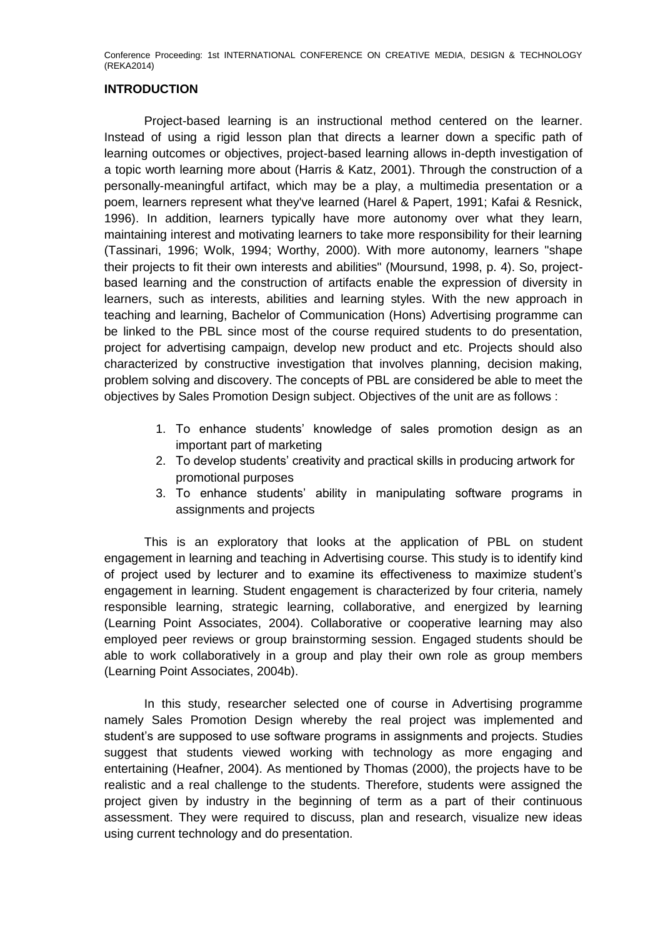### **INTRODUCTION**

Project-based learning is an instructional method centered on the learner. Instead of using a rigid lesson plan that directs a learner down a specific path of learning outcomes or objectives, project-based learning allows in-depth investigation of a topic worth learning more about (Harris & Katz, 2001). Through the construction of a personally-meaningful artifact, which may be a play, a multimedia presentation or a poem, learners represent what they've learned (Harel & Papert, 1991; Kafai & Resnick, 1996). In addition, learners typically have more autonomy over what they learn, maintaining interest and motivating learners to take more responsibility for their learning (Tassinari, 1996; Wolk, 1994; Worthy, 2000). With more autonomy, learners "shape their projects to fit their own interests and abilities" (Moursund, 1998, p. 4). So, projectbased learning and the construction of artifacts enable the expression of diversity in learners, such as interests, abilities and learning styles. With the new approach in teaching and learning, Bachelor of Communication (Hons) Advertising programme can be linked to the PBL since most of the course required students to do presentation, project for advertising campaign, develop new product and etc. Projects should also characterized by constructive investigation that involves planning, decision making, problem solving and discovery. The concepts of PBL are considered be able to meet the objectives by Sales Promotion Design subject. Objectives of the unit are as follows :

- 1. To enhance students' knowledge of sales promotion design as an important part of marketing
- 2. To develop students' creativity and practical skills in producing artwork for promotional purposes
- 3. To enhance students' ability in manipulating software programs in assignments and projects

This is an exploratory that looks at the application of PBL on student engagement in learning and teaching in Advertising course. This study is to identify kind of project used by lecturer and to examine its effectiveness to maximize student's engagement in learning. Student engagement is characterized by four criteria, namely responsible learning, strategic learning, collaborative, and energized by learning (Learning Point Associates, 2004). Collaborative or cooperative learning may also employed peer reviews or group brainstorming session. Engaged students should be able to work collaboratively in a group and play their own role as group members (Learning Point Associates, 2004b).

In this study, researcher selected one of course in Advertising programme namely Sales Promotion Design whereby the real project was implemented and student's are supposed to use software programs in assignments and projects. Studies suggest that students viewed working with technology as more engaging and entertaining (Heafner, 2004). As mentioned by Thomas (2000), the projects have to be realistic and a real challenge to the students. Therefore, students were assigned the project given by industry in the beginning of term as a part of their continuous assessment. They were required to discuss, plan and research, visualize new ideas using current technology and do presentation.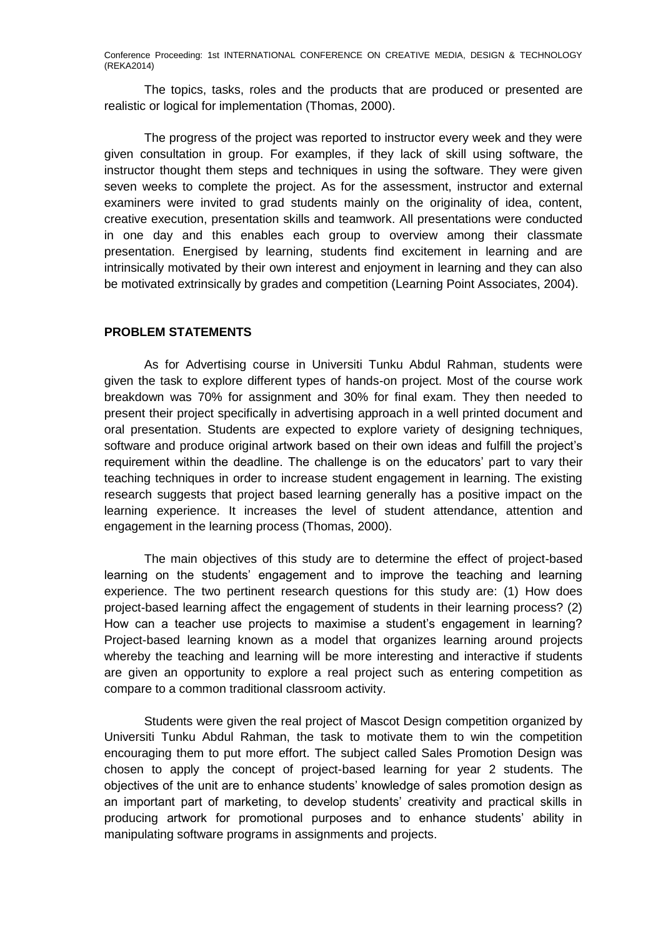The topics, tasks, roles and the products that are produced or presented are realistic or logical for implementation (Thomas, 2000).

The progress of the project was reported to instructor every week and they were given consultation in group. For examples, if they lack of skill using software, the instructor thought them steps and techniques in using the software. They were given seven weeks to complete the project. As for the assessment, instructor and external examiners were invited to grad students mainly on the originality of idea, content, creative execution, presentation skills and teamwork. All presentations were conducted in one day and this enables each group to overview among their classmate presentation. Energised by learning, students find excitement in learning and are intrinsically motivated by their own interest and enjoyment in learning and they can also be motivated extrinsically by grades and competition (Learning Point Associates, 2004).

## **PROBLEM STATEMENTS**

As for Advertising course in Universiti Tunku Abdul Rahman, students were given the task to explore different types of hands-on project. Most of the course work breakdown was 70% for assignment and 30% for final exam. They then needed to present their project specifically in advertising approach in a well printed document and oral presentation. Students are expected to explore variety of designing techniques, software and produce original artwork based on their own ideas and fulfill the project's requirement within the deadline. The challenge is on the educators' part to vary their teaching techniques in order to increase student engagement in learning. The existing research suggests that project based learning generally has a positive impact on the learning experience. It increases the level of student attendance, attention and engagement in the learning process (Thomas, 2000).

The main objectives of this study are to determine the effect of project-based learning on the students' engagement and to improve the teaching and learning experience. The two pertinent research questions for this study are: (1) How does project-based learning affect the engagement of students in their learning process? (2) How can a teacher use projects to maximise a student's engagement in learning? Project-based learning known as a model that organizes learning around projects whereby the teaching and learning will be more interesting and interactive if students are given an opportunity to explore a real project such as entering competition as compare to a common traditional classroom activity.

Students were given the real project of Mascot Design competition organized by Universiti Tunku Abdul Rahman, the task to motivate them to win the competition encouraging them to put more effort. The subject called Sales Promotion Design was chosen to apply the concept of project-based learning for year 2 students. The objectives of the unit are to enhance students' knowledge of sales promotion design as an important part of marketing, to develop students' creativity and practical skills in producing artwork for promotional purposes and to enhance students' ability in manipulating software programs in assignments and projects.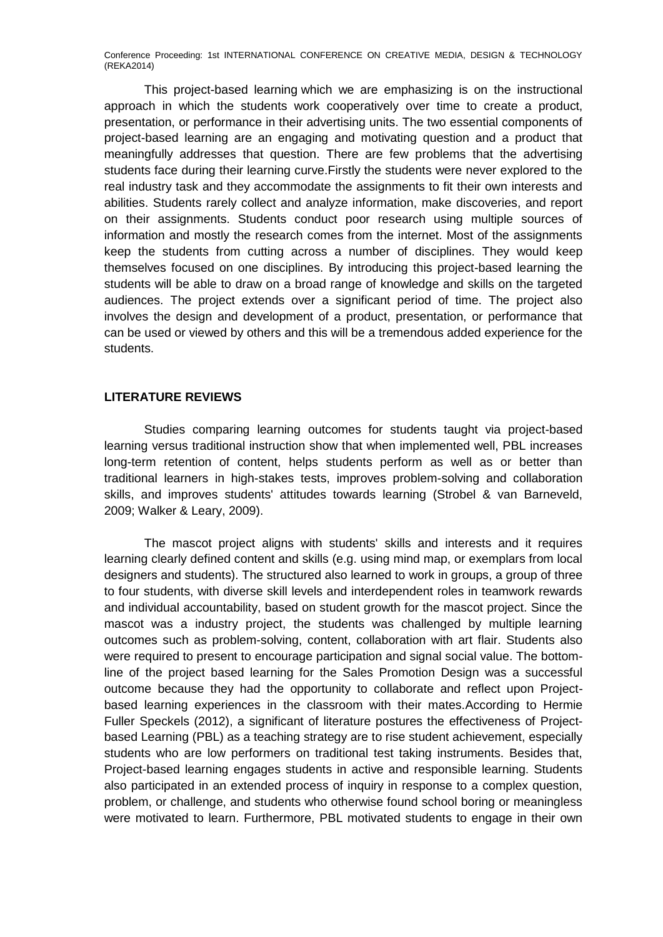This project-based learning which we are emphasizing is on the instructional approach in which the students work cooperatively over time to create a product, presentation, or performance in their advertising units. The two essential components of project-based learning are an engaging and motivating question and a product that meaningfully addresses that question. There are few problems that the advertising students face during their learning curve.Firstly the students were never explored to the real industry task and they accommodate the assignments to fit their own interests and abilities. Students rarely collect and analyze information, make discoveries, and report on their assignments. Students conduct poor research using multiple sources of information and mostly the research comes from the internet. Most of the assignments keep the students from cutting across a number of disciplines. They would keep themselves focused on one disciplines. By introducing this project-based learning the students will be able to draw on a broad range of knowledge and skills on the targeted audiences. The project extends over a significant period of time. The project also involves the design and development of a product, presentation, or performance that can be used or viewed by others and this will be a tremendous added experience for the students.

#### **LITERATURE REVIEWS**

Studies comparing learning outcomes for students taught via project-based learning versus traditional instruction show that when implemented well, PBL increases long-term retention of content, helps students perform as well as or better than traditional learners in high-stakes tests, improves problem-solving and collaboration skills, and improves students' attitudes towards learning (Strobel & van Barneveld, 2009; Walker & Leary, 2009).

The mascot project aligns with students' skills and interests and it requires learning clearly defined content and skills (e.g. using mind map, or exemplars from local designers and students). The structured also learned to work in groups, a group of three to four students, with diverse skill levels and interdependent roles in teamwork rewards and individual accountability, based on student growth for the mascot project. Since the mascot was a industry project, the students was challenged by multiple learning outcomes such as problem-solving, content, collaboration with art flair. Students also were required to present to encourage participation and signal social value. The bottomline of the project based learning for the Sales Promotion Design was a successful outcome because they had the opportunity to collaborate and reflect upon Projectbased learning experiences in the classroom with their mates.According to Hermie Fuller Speckels (2012), a significant of literature postures the effectiveness of Projectbased Learning (PBL) as a teaching strategy are to rise student achievement, especially students who are low performers on traditional test taking instruments. Besides that, Project-based learning engages students in active and responsible learning. Students also participated in an extended process of inquiry in response to a complex question, problem, or challenge, and students who otherwise found school boring or meaningless were motivated to learn. Furthermore, PBL motivated students to engage in their own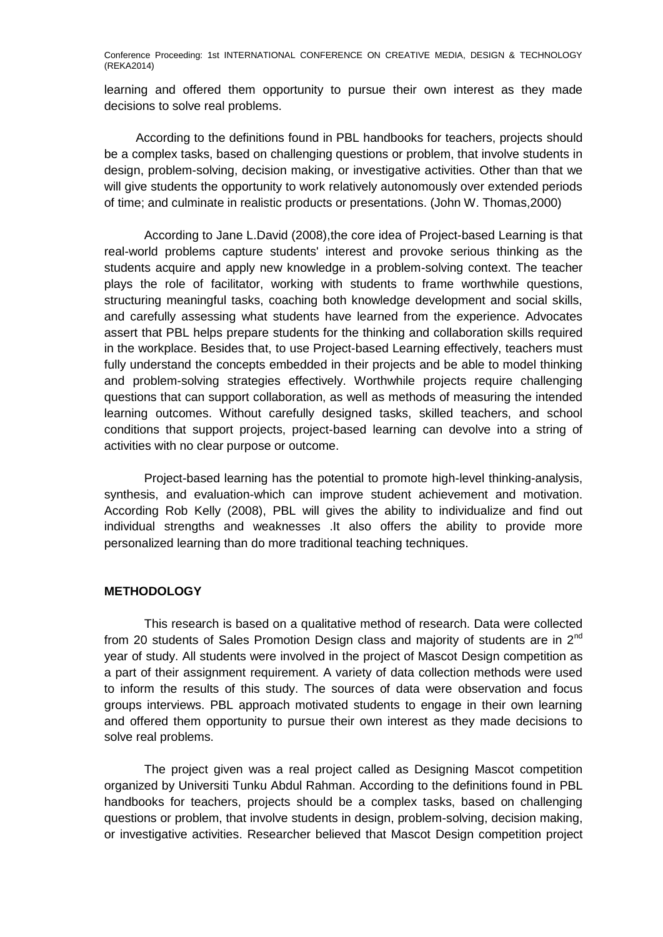learning and offered them opportunity to pursue their own interest as they made decisions to solve real problems.

According to the definitions found in PBL handbooks for teachers, projects should be a complex tasks, based on challenging questions or problem, that involve students in design, problem-solving, decision making, or investigative activities. Other than that we will give students the opportunity to work relatively autonomously over extended periods of time; and culminate in realistic products or presentations. (John W. Thomas,2000)

According to Jane L.David (2008),the core idea of Project-based Learning is that real-world problems capture students' interest and provoke serious thinking as the students acquire and apply new knowledge in a problem-solving context. The teacher plays the role of facilitator, working with students to frame worthwhile questions, structuring meaningful tasks, coaching both knowledge development and social skills, and carefully assessing what students have learned from the experience. Advocates assert that PBL helps prepare students for the thinking and collaboration skills required in the workplace. Besides that, to use Project-based Learning effectively, teachers must fully understand the concepts embedded in their projects and be able to model thinking and problem-solving strategies effectively. Worthwhile projects require challenging questions that can support collaboration, as well as methods of measuring the intended learning outcomes. Without carefully designed tasks, skilled teachers, and school conditions that support projects, project-based learning can devolve into a string of activities with no clear purpose or outcome.

Project-based learning has the potential to promote high-level thinking-analysis, synthesis, and evaluation-which can improve student achievement and motivation. According Rob Kelly (2008), PBL will gives the ability to individualize and find out individual strengths and weaknesses .It also offers the ability to provide more personalized learning than do more traditional teaching techniques.

#### **METHODOLOGY**

This research is based on a qualitative method of research. Data were collected from 20 students of Sales Promotion Design class and majority of students are in  $2<sup>nd</sup>$ year of study. All students were involved in the project of Mascot Design competition as a part of their assignment requirement. A variety of data collection methods were used to inform the results of this study. The sources of data were observation and focus groups interviews. PBL approach motivated students to engage in their own learning and offered them opportunity to pursue their own interest as they made decisions to solve real problems.

The project given was a real project called as Designing Mascot competition organized by Universiti Tunku Abdul Rahman. According to the definitions found in PBL handbooks for teachers, projects should be a complex tasks, based on challenging questions or problem, that involve students in design, problem-solving, decision making, or investigative activities. Researcher believed that Mascot Design competition project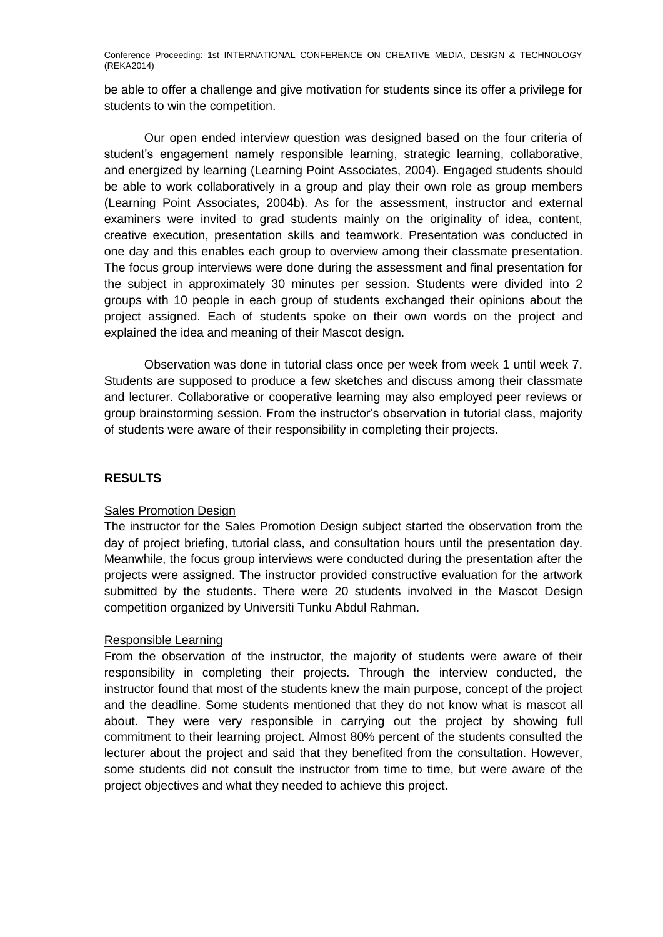be able to offer a challenge and give motivation for students since its offer a privilege for students to win the competition.

Our open ended interview question was designed based on the four criteria of student's engagement namely responsible learning, strategic learning, collaborative, and energized by learning (Learning Point Associates, 2004). Engaged students should be able to work collaboratively in a group and play their own role as group members (Learning Point Associates, 2004b). As for the assessment, instructor and external examiners were invited to grad students mainly on the originality of idea, content, creative execution, presentation skills and teamwork. Presentation was conducted in one day and this enables each group to overview among their classmate presentation. The focus group interviews were done during the assessment and final presentation for the subject in approximately 30 minutes per session. Students were divided into 2 groups with 10 people in each group of students exchanged their opinions about the project assigned. Each of students spoke on their own words on the project and explained the idea and meaning of their Mascot design.

Observation was done in tutorial class once per week from week 1 until week 7. Students are supposed to produce a few sketches and discuss among their classmate and lecturer. Collaborative or cooperative learning may also employed peer reviews or group brainstorming session. From the instructor's observation in tutorial class, majority of students were aware of their responsibility in completing their projects.

# **RESULTS**

#### Sales Promotion Design

The instructor for the Sales Promotion Design subject started the observation from the day of project briefing, tutorial class, and consultation hours until the presentation day. Meanwhile, the focus group interviews were conducted during the presentation after the projects were assigned. The instructor provided constructive evaluation for the artwork submitted by the students. There were 20 students involved in the Mascot Design competition organized by Universiti Tunku Abdul Rahman.

# Responsible Learning

From the observation of the instructor, the majority of students were aware of their responsibility in completing their projects. Through the interview conducted, the instructor found that most of the students knew the main purpose, concept of the project and the deadline. Some students mentioned that they do not know what is mascot all about. They were very responsible in carrying out the project by showing full commitment to their learning project. Almost 80% percent of the students consulted the lecturer about the project and said that they benefited from the consultation. However, some students did not consult the instructor from time to time, but were aware of the project objectives and what they needed to achieve this project.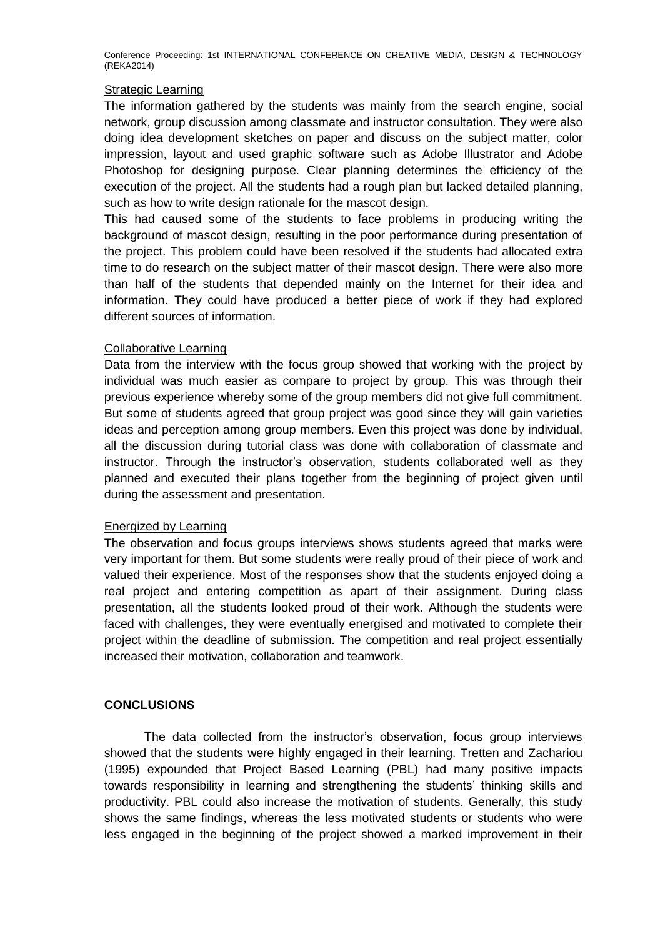### Strategic Learning

The information gathered by the students was mainly from the search engine, social network, group discussion among classmate and instructor consultation. They were also doing idea development sketches on paper and discuss on the subject matter, color impression, layout and used graphic software such as Adobe Illustrator and Adobe Photoshop for designing purpose. Clear planning determines the efficiency of the execution of the project. All the students had a rough plan but lacked detailed planning, such as how to write design rationale for the mascot design.

This had caused some of the students to face problems in producing writing the background of mascot design, resulting in the poor performance during presentation of the project. This problem could have been resolved if the students had allocated extra time to do research on the subject matter of their mascot design. There were also more than half of the students that depended mainly on the Internet for their idea and information. They could have produced a better piece of work if they had explored different sources of information.

### Collaborative Learning

Data from the interview with the focus group showed that working with the project by individual was much easier as compare to project by group. This was through their previous experience whereby some of the group members did not give full commitment. But some of students agreed that group project was good since they will gain varieties ideas and perception among group members. Even this project was done by individual, all the discussion during tutorial class was done with collaboration of classmate and instructor. Through the instructor's observation, students collaborated well as they planned and executed their plans together from the beginning of project given until during the assessment and presentation.

# Energized by Learning

The observation and focus groups interviews shows students agreed that marks were very important for them. But some students were really proud of their piece of work and valued their experience. Most of the responses show that the students enjoyed doing a real project and entering competition as apart of their assignment. During class presentation, all the students looked proud of their work. Although the students were faced with challenges, they were eventually energised and motivated to complete their project within the deadline of submission. The competition and real project essentially increased their motivation, collaboration and teamwork.

# **CONCLUSIONS**

The data collected from the instructor's observation, focus group interviews showed that the students were highly engaged in their learning. Tretten and Zachariou (1995) expounded that Project Based Learning (PBL) had many positive impacts towards responsibility in learning and strengthening the students' thinking skills and productivity. PBL could also increase the motivation of students. Generally, this study shows the same findings, whereas the less motivated students or students who were less engaged in the beginning of the project showed a marked improvement in their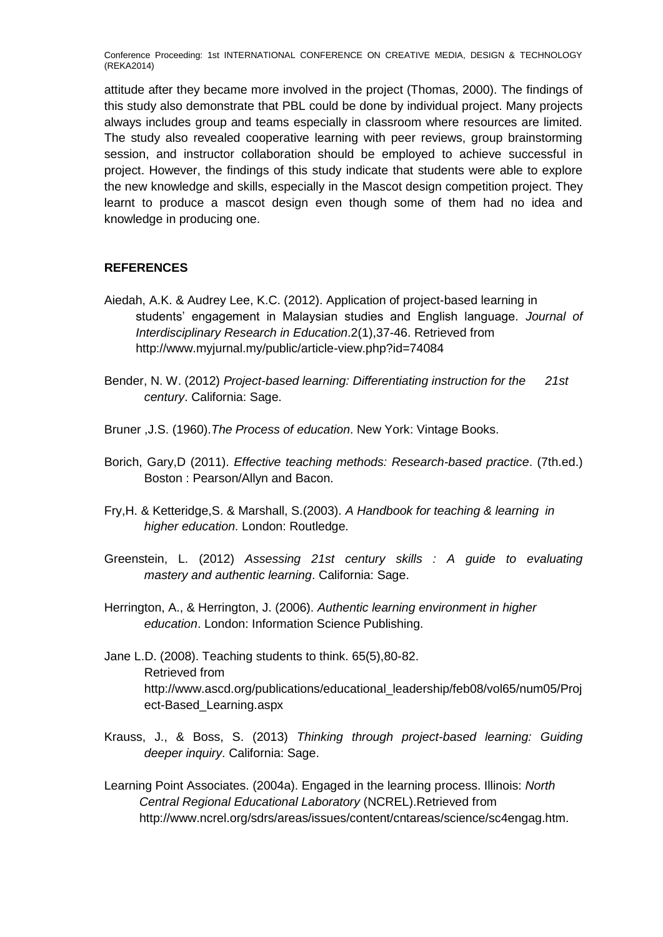attitude after they became more involved in the project (Thomas, 2000). The findings of this study also demonstrate that PBL could be done by individual project. Many projects always includes group and teams especially in classroom where resources are limited. The study also revealed cooperative learning with peer reviews, group brainstorming session, and instructor collaboration should be employed to achieve successful in project. However, the findings of this study indicate that students were able to explore the new knowledge and skills, especially in the Mascot design competition project. They learnt to produce a mascot design even though some of them had no idea and knowledge in producing one.

### **REFERENCES**

- Aiedah, A.K. & Audrey Lee, K.C. (2012). Application of project-based learning in students' engagement in Malaysian studies and English language. *Journal of Interdisciplinary Research in Education*.2(1),37-46. Retrieved from http://www.myjurnal.my/public/article-view.php?id=74084
- Bender, N. W. (2012) *Project-based learning: Differentiating instruction for the 21st century*. California: Sage.
- Bruner ,J.S. (1960).*The Process of education*. New York: Vintage Books.
- Borich, Gary,D (2011). *Effective teaching methods: Research-based practice*. (7th.ed.) Boston : Pearson/Allyn and Bacon.
- Fry,H. & Ketteridge,S. & Marshall, S.(2003). *A Handbook for teaching & learning in higher education*. London: Routledge.
- Greenstein, L. (2012) *Assessing 21st century skills : A guide to evaluating mastery and authentic learning*. California: Sage.
- Herrington, A., & Herrington, J. (2006). *Authentic learning environment in higher education*. London: Information Science Publishing.
- Jane L.D. (2008). Teaching students to think. 65(5),80-82. Retrieved from http://www.ascd.org/publications/educational\_leadership/feb08/vol65/num05/Proj ect-Based\_Learning.aspx
- Krauss, J., & Boss, S. (2013) *Thinking through project-based learning: Guiding deeper inquiry*. California: Sage.
- Learning Point Associates. (2004a). Engaged in the learning process. Illinois: *North Central Regional Educational Laboratory* (NCREL).Retrieved from http://www.ncrel.org/sdrs/areas/issues/content/cntareas/science/sc4engag.htm.